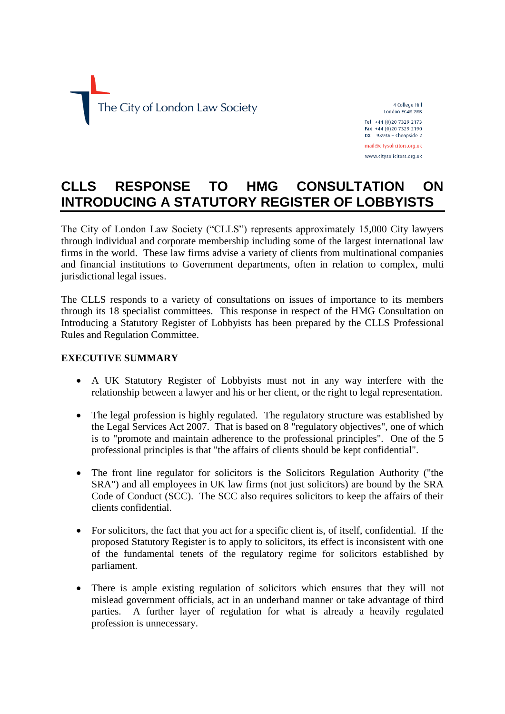

4 College Hill London EC4R 2RB Tel +44 (0)20 7329 2173 Fax +44 (0)20 7329 2190  $DX$  98936 - Cheapside 2

mail@citysolicitors.org.uk www.citysolicitors.org.uk

# **CLLS RESPONSE TO HMG CONSULTATION ON INTRODUCING A STATUTORY REGISTER OF LOBBYISTS**

The City of London Law Society ("CLLS") represents approximately 15,000 City lawyers through individual and corporate membership including some of the largest international law firms in the world. These law firms advise a variety of clients from multinational companies and financial institutions to Government departments, often in relation to complex, multi jurisdictional legal issues.

The CLLS responds to a variety of consultations on issues of importance to its members through its 18 specialist committees. This response in respect of the HMG Consultation on Introducing a Statutory Register of Lobbyists has been prepared by the CLLS Professional Rules and Regulation Committee.

## **EXECUTIVE SUMMARY**

- A UK Statutory Register of Lobbyists must not in any way interfere with the relationship between a lawyer and his or her client, or the right to legal representation.
- The legal profession is highly regulated. The regulatory structure was established by the Legal Services Act 2007. That is based on 8 "regulatory objectives", one of which is to "promote and maintain adherence to the professional principles". One of the 5 professional principles is that "the affairs of clients should be kept confidential".
- The front line regulator for solicitors is the Solicitors Regulation Authority ("the SRA") and all employees in UK law firms (not just solicitors) are bound by the SRA Code of Conduct (SCC). The SCC also requires solicitors to keep the affairs of their clients confidential.
- For solicitors, the fact that you act for a specific client is, of itself, confidential. If the proposed Statutory Register is to apply to solicitors, its effect is inconsistent with one of the fundamental tenets of the regulatory regime for solicitors established by parliament.
- There is ample existing regulation of solicitors which ensures that they will not mislead government officials, act in an underhand manner or take advantage of third parties. A further layer of regulation for what is already a heavily regulated profession is unnecessary.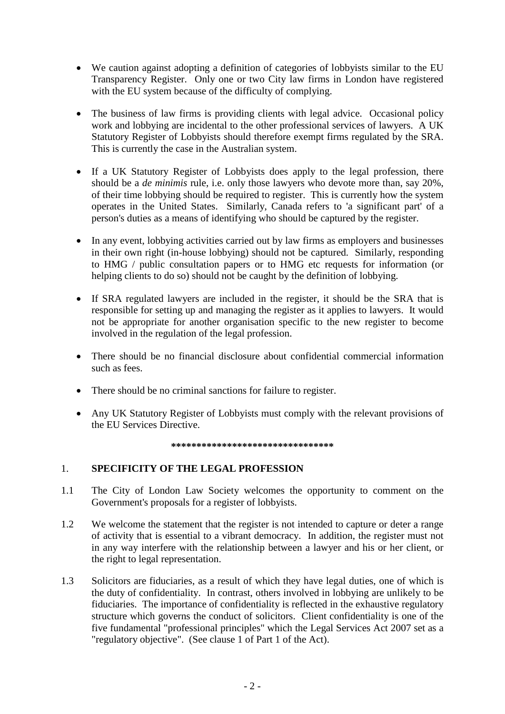- We caution against adopting a definition of categories of lobbyists similar to the EU Transparency Register. Only one or two City law firms in London have registered with the EU system because of the difficulty of complying.
- The business of law firms is providing clients with legal advice. Occasional policy work and lobbying are incidental to the other professional services of lawyers. A UK Statutory Register of Lobbyists should therefore exempt firms regulated by the SRA. This is currently the case in the Australian system.
- If a UK Statutory Register of Lobbyists does apply to the legal profession, there should be a *de minimis* rule, i.e. only those lawyers who devote more than, say 20%, of their time lobbying should be required to register. This is currently how the system operates in the United States. Similarly, Canada refers to 'a significant part' of a person's duties as a means of identifying who should be captured by the register.
- In any event, lobbying activities carried out by law firms as employers and businesses in their own right (in-house lobbying) should not be captured. Similarly, responding to HMG / public consultation papers or to HMG etc requests for information (or helping clients to do so) should not be caught by the definition of lobbying.
- If SRA regulated lawyers are included in the register, it should be the SRA that is responsible for setting up and managing the register as it applies to lawyers. It would not be appropriate for another organisation specific to the new register to become involved in the regulation of the legal profession.
- There should be no financial disclosure about confidential commercial information such as fees.
- There should be no criminal sanctions for failure to register.
- Any UK Statutory Register of Lobbyists must comply with the relevant provisions of the EU Services Directive.

#### **\*\*\*\*\*\*\*\*\*\*\*\*\*\*\*\*\*\*\*\*\*\*\*\*\*\*\*\*\*\*\*\***

### 1. **SPECIFICITY OF THE LEGAL PROFESSION**

- 1.1 The City of London Law Society welcomes the opportunity to comment on the Government's proposals for a register of lobbyists.
- 1.2 We welcome the statement that the register is not intended to capture or deter a range of activity that is essential to a vibrant democracy. In addition, the register must not in any way interfere with the relationship between a lawyer and his or her client, or the right to legal representation.
- 1.3 Solicitors are fiduciaries, as a result of which they have legal duties, one of which is the duty of confidentiality. In contrast, others involved in lobbying are unlikely to be fiduciaries. The importance of confidentiality is reflected in the exhaustive regulatory structure which governs the conduct of solicitors. Client confidentiality is one of the five fundamental "professional principles" which the Legal Services Act 2007 set as a "regulatory objective". (See clause 1 of Part 1 of the Act).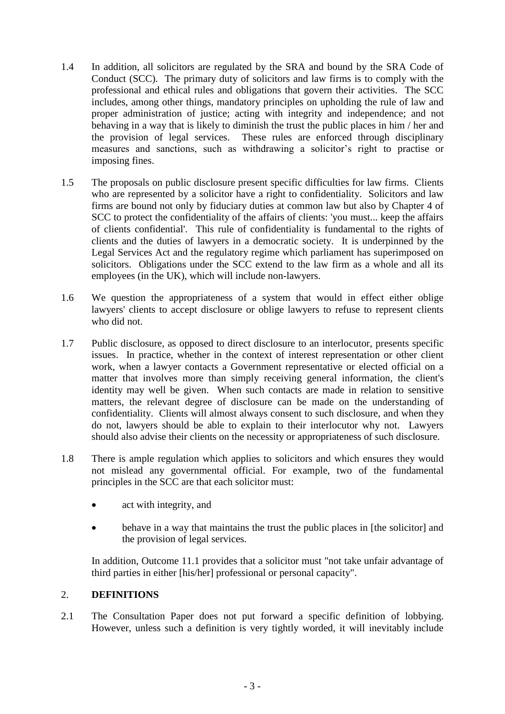- 1.4 In addition, all solicitors are regulated by the SRA and bound by the SRA Code of Conduct (SCC). The primary duty of solicitors and law firms is to comply with the professional and ethical rules and obligations that govern their activities. The SCC includes, among other things, mandatory principles on upholding the rule of law and proper administration of justice; acting with integrity and independence; and not behaving in a way that is likely to diminish the trust the public places in him / her and the provision of legal services. These rules are enforced through disciplinary measures and sanctions, such as withdrawing a solicitor's right to practise or imposing fines.
- 1.5 The proposals on public disclosure present specific difficulties for law firms. Clients who are represented by a solicitor have a right to confidentiality. Solicitors and law firms are bound not only by fiduciary duties at common law but also by Chapter 4 of SCC to protect the confidentiality of the affairs of clients: 'you must... keep the affairs of clients confidential'. This rule of confidentiality is fundamental to the rights of clients and the duties of lawyers in a democratic society. It is underpinned by the Legal Services Act and the regulatory regime which parliament has superimposed on solicitors. Obligations under the SCC extend to the law firm as a whole and all its employees (in the UK), which will include non-lawyers.
- 1.6 We question the appropriateness of a system that would in effect either oblige lawyers' clients to accept disclosure or oblige lawyers to refuse to represent clients who did not.
- 1.7 Public disclosure, as opposed to direct disclosure to an interlocutor, presents specific issues. In practice, whether in the context of interest representation or other client work, when a lawyer contacts a Government representative or elected official on a matter that involves more than simply receiving general information, the client's identity may well be given. When such contacts are made in relation to sensitive matters, the relevant degree of disclosure can be made on the understanding of confidentiality. Clients will almost always consent to such disclosure, and when they do not, lawyers should be able to explain to their interlocutor why not. Lawyers should also advise their clients on the necessity or appropriateness of such disclosure.
- 1.8 There is ample regulation which applies to solicitors and which ensures they would not mislead any governmental official. For example, two of the fundamental principles in the SCC are that each solicitor must:
	- act with integrity, and
	- behave in a way that maintains the trust the public places in [the solicitor] and the provision of legal services.

In addition, Outcome 11.1 provides that a solicitor must "not take unfair advantage of third parties in either [his/her] professional or personal capacity".

## 2. **DEFINITIONS**

2.1 The Consultation Paper does not put forward a specific definition of lobbying. However, unless such a definition is very tightly worded, it will inevitably include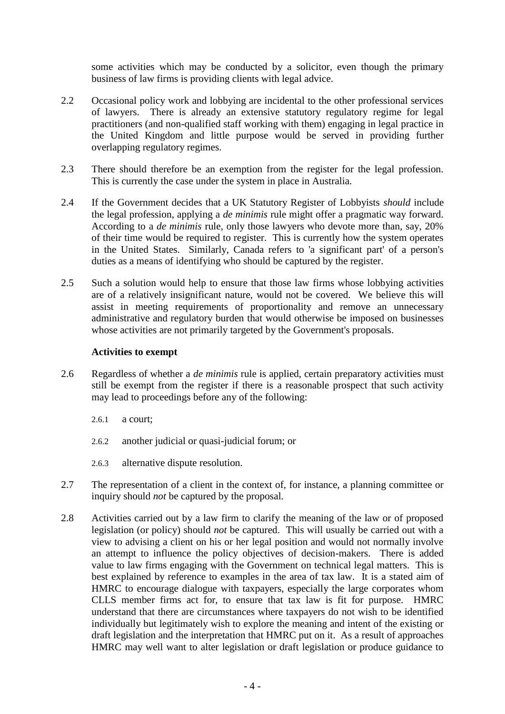some activities which may be conducted by a solicitor, even though the primary business of law firms is providing clients with legal advice.

- 2.2 Occasional policy work and lobbying are incidental to the other professional services of lawyers. There is already an extensive statutory regulatory regime for legal practitioners (and non-qualified staff working with them) engaging in legal practice in the United Kingdom and little purpose would be served in providing further overlapping regulatory regimes.
- 2.3 There should therefore be an exemption from the register for the legal profession. This is currently the case under the system in place in Australia.
- 2.4 If the Government decides that a UK Statutory Register of Lobbyists *should* include the legal profession, applying a *de minimis* rule might offer a pragmatic way forward. According to a *de minimis* rule, only those lawyers who devote more than, say, 20% of their time would be required to register. This is currently how the system operates in the United States. Similarly, Canada refers to 'a significant part' of a person's duties as a means of identifying who should be captured by the register.
- 2.5 Such a solution would help to ensure that those law firms whose lobbying activities are of a relatively insignificant nature, would not be covered. We believe this will assist in meeting requirements of proportionality and remove an unnecessary administrative and regulatory burden that would otherwise be imposed on businesses whose activities are not primarily targeted by the Government's proposals.

### **Activities to exempt**

- 2.6 Regardless of whether a *de minimis* rule is applied, certain preparatory activities must still be exempt from the register if there is a reasonable prospect that such activity may lead to proceedings before any of the following:
	- 2.6.1 a court;
	- 2.6.2 another judicial or quasi-judicial forum; or
	- 2.6.3 alternative dispute resolution.
- 2.7 The representation of a client in the context of, for instance, a planning committee or inquiry should *not* be captured by the proposal.
- 2.8 Activities carried out by a law firm to clarify the meaning of the law or of proposed legislation (or policy) should *not* be captured. This will usually be carried out with a view to advising a client on his or her legal position and would not normally involve an attempt to influence the policy objectives of decision-makers. There is added value to law firms engaging with the Government on technical legal matters. This is best explained by reference to examples in the area of tax law. It is a stated aim of HMRC to encourage dialogue with taxpayers, especially the large corporates whom CLLS member firms act for, to ensure that tax law is fit for purpose. HMRC understand that there are circumstances where taxpayers do not wish to be identified individually but legitimately wish to explore the meaning and intent of the existing or draft legislation and the interpretation that HMRC put on it. As a result of approaches HMRC may well want to alter legislation or draft legislation or produce guidance to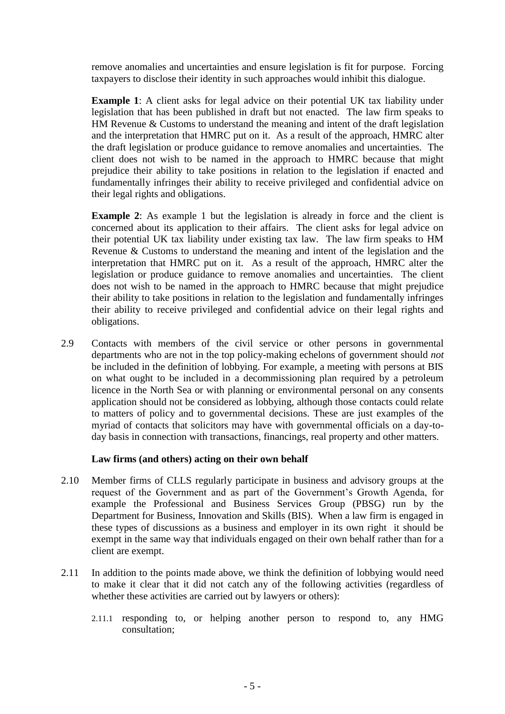remove anomalies and uncertainties and ensure legislation is fit for purpose. Forcing taxpayers to disclose their identity in such approaches would inhibit this dialogue.

**Example 1**: A client asks for legal advice on their potential UK tax liability under legislation that has been published in draft but not enacted. The law firm speaks to HM Revenue & Customs to understand the meaning and intent of the draft legislation and the interpretation that HMRC put on it. As a result of the approach, HMRC alter the draft legislation or produce guidance to remove anomalies and uncertainties. The client does not wish to be named in the approach to HMRC because that might prejudice their ability to take positions in relation to the legislation if enacted and fundamentally infringes their ability to receive privileged and confidential advice on their legal rights and obligations.

**Example 2**: As example 1 but the legislation is already in force and the client is concerned about its application to their affairs. The client asks for legal advice on their potential UK tax liability under existing tax law. The law firm speaks to HM Revenue & Customs to understand the meaning and intent of the legislation and the interpretation that HMRC put on it. As a result of the approach, HMRC alter the legislation or produce guidance to remove anomalies and uncertainties. The client does not wish to be named in the approach to HMRC because that might prejudice their ability to take positions in relation to the legislation and fundamentally infringes their ability to receive privileged and confidential advice on their legal rights and obligations.

2.9 Contacts with members of the civil service or other persons in governmental departments who are not in the top policy-making echelons of government should *not* be included in the definition of lobbying. For example, a meeting with persons at BIS on what ought to be included in a decommissioning plan required by a petroleum licence in the North Sea or with planning or environmental personal on any consents application should not be considered as lobbying, although those contacts could relate to matters of policy and to governmental decisions. These are just examples of the myriad of contacts that solicitors may have with governmental officials on a day-today basis in connection with transactions, financings, real property and other matters.

### **Law firms (and others) acting on their own behalf**

- 2.10 Member firms of CLLS regularly participate in business and advisory groups at the request of the Government and as part of the Government's Growth Agenda, for example the Professional and Business Services Group (PBSG) run by the Department for Business, Innovation and Skills (BIS). When a law firm is engaged in these types of discussions as a business and employer in its own right it should be exempt in the same way that individuals engaged on their own behalf rather than for a client are exempt.
- 2.11 In addition to the points made above, we think the definition of lobbying would need to make it clear that it did not catch any of the following activities (regardless of whether these activities are carried out by lawyers or others):
	- 2.11.1 responding to, or helping another person to respond to, any HMG consultation;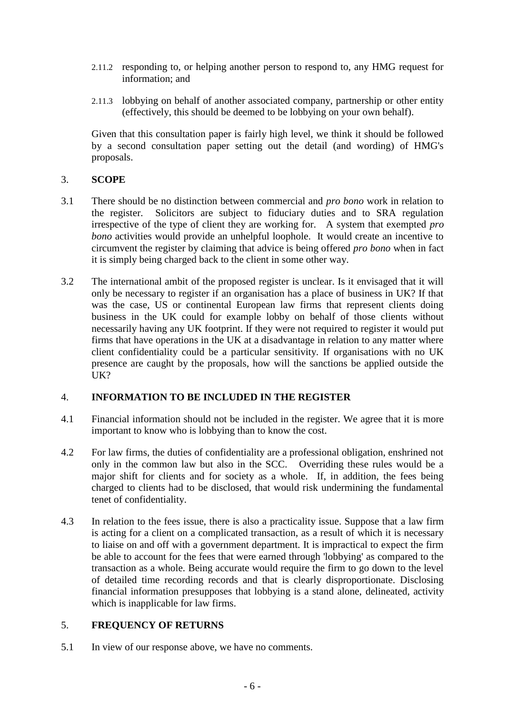- 2.11.2 responding to, or helping another person to respond to, any HMG request for information; and
- 2.11.3 lobbying on behalf of another associated company, partnership or other entity (effectively, this should be deemed to be lobbying on your own behalf).

Given that this consultation paper is fairly high level, we think it should be followed by a second consultation paper setting out the detail (and wording) of HMG's proposals.

## 3. **SCOPE**

- 3.1 There should be no distinction between commercial and *pro bono* work in relation to the register. Solicitors are subject to fiduciary duties and to SRA regulation irrespective of the type of client they are working for. A system that exempted *pro bono* activities would provide an unhelpful loophole. It would create an incentive to circumvent the register by claiming that advice is being offered *pro bono* when in fact it is simply being charged back to the client in some other way.
- 3.2 The international ambit of the proposed register is unclear. Is it envisaged that it will only be necessary to register if an organisation has a place of business in UK? If that was the case, US or continental European law firms that represent clients doing business in the UK could for example lobby on behalf of those clients without necessarily having any UK footprint. If they were not required to register it would put firms that have operations in the UK at a disadvantage in relation to any matter where client confidentiality could be a particular sensitivity. If organisations with no UK presence are caught by the proposals, how will the sanctions be applied outside the UK?

## 4. **INFORMATION TO BE INCLUDED IN THE REGISTER**

- 4.1 Financial information should not be included in the register. We agree that it is more important to know who is lobbying than to know the cost.
- 4.2 For law firms, the duties of confidentiality are a professional obligation, enshrined not only in the common law but also in the SCC. Overriding these rules would be a major shift for clients and for society as a whole. If, in addition, the fees being charged to clients had to be disclosed, that would risk undermining the fundamental tenet of confidentiality.
- 4.3 In relation to the fees issue, there is also a practicality issue. Suppose that a law firm is acting for a client on a complicated transaction, as a result of which it is necessary to liaise on and off with a government department. It is impractical to expect the firm be able to account for the fees that were earned through 'lobbying' as compared to the transaction as a whole. Being accurate would require the firm to go down to the level of detailed time recording records and that is clearly disproportionate. Disclosing financial information presupposes that lobbying is a stand alone, delineated, activity which is inapplicable for law firms.

## 5. **FREQUENCY OF RETURNS**

5.1 In view of our response above, we have no comments.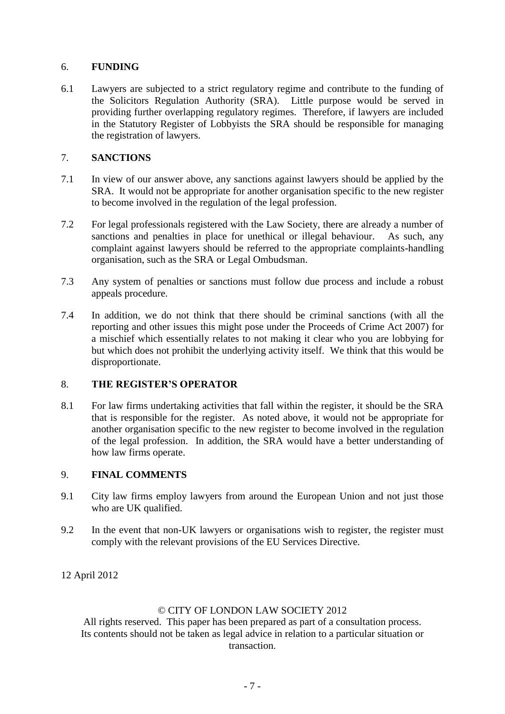## 6. **FUNDING**

6.1 Lawyers are subjected to a strict regulatory regime and contribute to the funding of the Solicitors Regulation Authority (SRA). Little purpose would be served in providing further overlapping regulatory regimes. Therefore, if lawyers are included in the Statutory Register of Lobbyists the SRA should be responsible for managing the registration of lawyers.

## 7. **SANCTIONS**

- 7.1 In view of our answer above, any sanctions against lawyers should be applied by the SRA. It would not be appropriate for another organisation specific to the new register to become involved in the regulation of the legal profession.
- 7.2 For legal professionals registered with the Law Society, there are already a number of sanctions and penalties in place for unethical or illegal behaviour. As such, any complaint against lawyers should be referred to the appropriate complaints-handling organisation, such as the SRA or Legal Ombudsman.
- 7.3 Any system of penalties or sanctions must follow due process and include a robust appeals procedure.
- 7.4 In addition, we do not think that there should be criminal sanctions (with all the reporting and other issues this might pose under the Proceeds of Crime Act 2007) for a mischief which essentially relates to not making it clear who you are lobbying for but which does not prohibit the underlying activity itself. We think that this would be disproportionate.

### 8. **THE REGISTER'S OPERATOR**

8.1 For law firms undertaking activities that fall within the register, it should be the SRA that is responsible for the register. As noted above, it would not be appropriate for another organisation specific to the new register to become involved in the regulation of the legal profession. In addition, the SRA would have a better understanding of how law firms operate.

### 9. **FINAL COMMENTS**

- 9.1 City law firms employ lawyers from around the European Union and not just those who are UK qualified.
- 9.2 In the event that non-UK lawyers or organisations wish to register, the register must comply with the relevant provisions of the EU Services Directive.
- 12 April 2012

### © CITY OF LONDON LAW SOCIETY 2012

All rights reserved. This paper has been prepared as part of a consultation process. Its contents should not be taken as legal advice in relation to a particular situation or transaction.